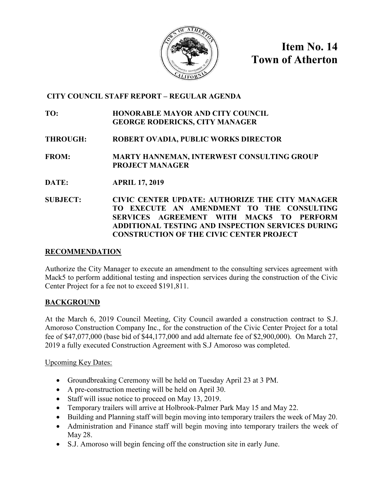

**Item No. 14 Town of Atherton**

## **CITY COUNCIL STAFF REPORT – REGULAR AGENDA**

**TO: HONORABLE MAYOR AND CITY COUNCIL GEORGE RODERICKS, CITY MANAGER**

**THROUGH: ROBERT OVADIA, PUBLIC WORKS DIRECTOR**

**FROM: MARTY HANNEMAN, INTERWEST CONSULTING GROUP PROJECT MANAGER**

- **DATE: APRIL 17, 2019**
- **SUBJECT: CIVIC CENTER UPDATE: AUTHORIZE THE CITY MANAGER TO EXECUTE AN AMENDMENT TO THE CONSULTING SERVICES AGREEMENT WITH MACK5 TO PERFORM ADDITIONAL TESTING AND INSPECTION SERVICES DURING CONSTRUCTION OF THE CIVIC CENTER PROJECT**

#### **RECOMMENDATION**

Authorize the City Manager to execute an amendment to the consulting services agreement with Mack5 to perform additional testing and inspection services during the construction of the Civic Center Project for a fee not to exceed \$191,811.

#### **BACKGROUND**

At the March 6, 2019 Council Meeting, City Council awarded a construction contract to S.J. Amoroso Construction Company Inc., for the construction of the Civic Center Project for a total fee of \$47,077,000 (base bid of \$44,177,000 and add alternate fee of \$2,900,000). On March 27, 2019 a fully executed Construction Agreement with S.J Amoroso was completed.

Upcoming Key Dates:

- Groundbreaking Ceremony will be held on Tuesday April 23 at 3 PM.
- A pre-construction meeting will be held on April 30.
- Staff will issue notice to proceed on May 13, 2019.
- Temporary trailers will arrive at Holbrook-Palmer Park May 15 and May 22.
- Building and Planning staff will begin moving into temporary trailers the week of May 20.
- Administration and Finance staff will begin moving into temporary trailers the week of May 28.
- S.J. Amoroso will begin fencing off the construction site in early June.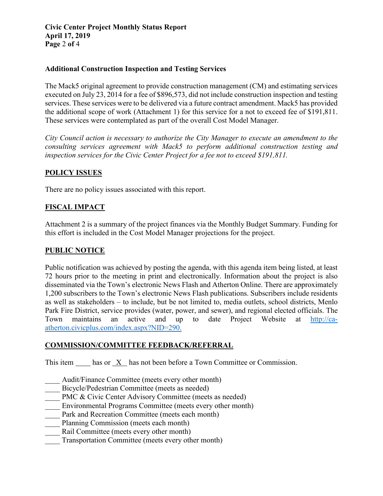#### **Additional Construction Inspection and Testing Services**

The Mack5 original agreement to provide construction management (CM) and estimating services executed on July 23, 2014 for a fee of \$896,573, did not include construction inspection and testing services. These services were to be delivered via a future contract amendment. Mack5 has provided the additional scope of work (Attachment 1) for this service for a not to exceed fee of \$191,811. These services were contemplated as part of the overall Cost Model Manager.

*City Council action is necessary to authorize the City Manager to execute an amendment to the consulting services agreement with Mack5 to perform additional construction testing and inspection services for the Civic Center Project for a fee not to exceed \$191,811.*

#### **POLICY ISSUES**

There are no policy issues associated with this report.

## **FISCAL IMPACT**

Attachment 2 is a summary of the project finances via the Monthly Budget Summary. Funding for this effort is included in the Cost Model Manager projections for the project.

#### **PUBLIC NOTICE**

Public notification was achieved by posting the agenda, with this agenda item being listed, at least 72 hours prior to the meeting in print and electronically. Information about the project is also disseminated via the Town's electronic News Flash and Atherton Online. There are approximately 1,200 subscribers to the Town's electronic News Flash publications. Subscribers include residents as well as stakeholders – to include, but be not limited to, media outlets, school districts, Menlo Park Fire District, service provides (water, power, and sewer), and regional elected officials. The Town maintains an active and up to date Project Website at [http://ca](http://ca-atherton.civicplus.com/index.aspx?NID=290)[atherton.civicplus.com/index.aspx?NID=290.](http://ca-atherton.civicplus.com/index.aspx?NID=290)

#### **COMMISSION/COMMITTEE FEEDBACK/REFERRAL**

This item has or X has not been before a Town Committee or Commission.

- Audit/Finance Committee (meets every other month)
- Bicycle/Pedestrian Committee (meets as needed)
- PMC & Civic Center Advisory Committee (meets as needed)
- Environmental Programs Committee (meets every other month)
- Park and Recreation Committee (meets each month)
- Planning Commission (meets each month)
- Rail Committee (meets every other month)
- Transportation Committee (meets every other month)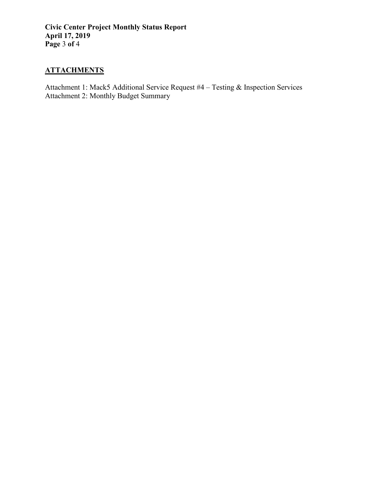**Civic Center Project Monthly Status Report April 17, 2019 Page** 3 **of** 4

# **ATTACHMENTS**

Attachment 1: Mack5 Additional Service Request #4 – Testing & Inspection Services Attachment 2: Monthly Budget Summary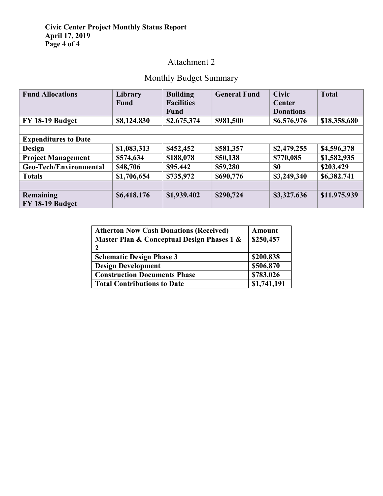#### **Civic Center Project Monthly Status Report April 17, 2019 Page** 4 **of** 4

# Attachment 2

# Monthly Budget Summary

| <b>Fund Allocations</b>     | Library     | <b>Building</b>   | <b>General Fund</b> | <b>Civic</b>     | <b>Total</b> |  |
|-----------------------------|-------------|-------------------|---------------------|------------------|--------------|--|
|                             | <b>Fund</b> | <b>Facilities</b> |                     | Center           |              |  |
|                             |             | <b>Fund</b>       |                     | <b>Donations</b> |              |  |
| FY 18-19 Budget             | \$8,124,830 | \$2,675,374       | \$981,500           | \$6,576,976      | \$18,358,680 |  |
|                             |             |                   |                     |                  |              |  |
| <b>Expenditures to Date</b> |             |                   |                     |                  |              |  |
| Design                      | \$1,083,313 | \$452,452         | \$581,357           | \$2,479,255      | \$4,596,378  |  |
| <b>Project Management</b>   | \$574,634   | \$188,078         | \$50,138            | \$770,085        | \$1,582,935  |  |
| Geo-Tech/Environmental      | \$48,706    | \$95,442          | \$59,280            | \$0              | \$203,429    |  |
| <b>Totals</b>               | \$1,706,654 | \$735,972         | \$690,776           | \$3,249,340      | \$6,382.741  |  |
|                             |             |                   |                     |                  |              |  |
| Remaining                   | \$6,418.176 | \$1,939.402       | \$290,724           | \$3,327.636      | \$11.975.939 |  |
| FY 18-19 Budget             |             |                   |                     |                  |              |  |

| <b>Atherton Now Cash Donations (Received)</b> | Amount      |
|-----------------------------------------------|-------------|
| Master Plan & Conceptual Design Phases 1 &    | \$250,457   |
| י                                             |             |
| <b>Schematic Design Phase 3</b>               | \$200,838   |
| <b>Design Development</b>                     | \$506,870   |
| <b>Construction Documents Phase</b>           | \$783,026   |
| <b>Total Contributions to Date</b>            | \$1,741,191 |